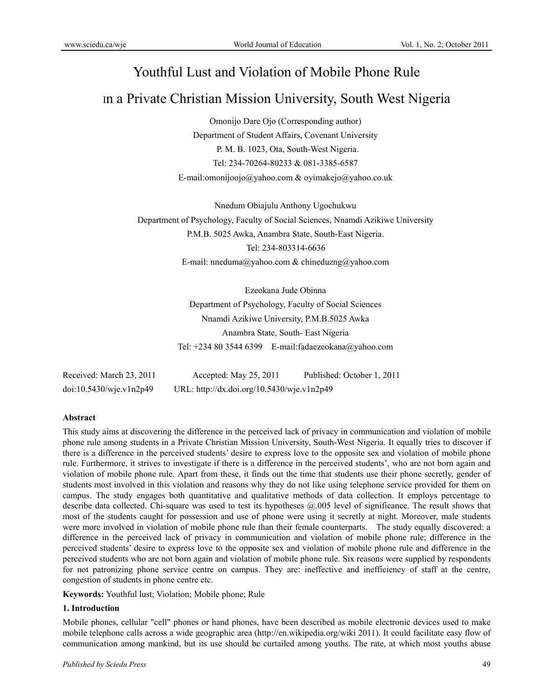# Youthful Lust and Violation of Mobile Phone Rule

## In a Private Christian Mission University, South West Nigeria

Omonijo Dare Ojo (Corresponding author) Department of Student Affairs, Covenant University P. M. B. 1023, Ota, South-West Nigeria. Tel: 234-70264-80233 & 081-3385-6587 E-mail:omonijoojo@yahoo.com & oyimakejo@yahoo.co.uk

Nnedum Obiajulu Anthony Ugochukwu Department of Psychology, Faculty of Social Sciences, Nnamdi Azikiwe University P.M.B. 5025 Awka, Anambra State, South-East Nigeria. Tel: 234-803314-6636 E-mail: nneduma@yahoo.com & chineduzng@yahoo.com

> Ezeokana Jude Obinna Department of Psychology, Faculty of Social Sciences Nnamdi Azikiwe University, P.M.B.5025 Awka Anambra State, South- East Nigeria Tel: +234 80 3544 6399 E-mail:fadaezeokana@yahoo.com

| Received: March 23, 2011 | Accepted: May $25, 2011$                   | Published: October 1, 2011 |
|--------------------------|--------------------------------------------|----------------------------|
| doi:10.5430/wje.v1n2p49  | URL: http://dx.doi.org/10.5430/wje.v1n2p49 |                            |

#### **Abstract**

This study aims at discovering the difference in the perceived lack of privacy in communication and violation of mobile phone rule among students in a Private Christian Mission University, South-West Nigeria. It equally tries to discover if there is a difference in the perceived students' desire to express love to the opposite sex and violation of mobile phone rule. Furthermore, it strives to investigate if there is a difference in the perceived students', who are not born again and violation of mobile phone rule. Apart from these, it finds out the time that students use their phone secretly, gender of students most involved in this violation and reasons why they do not like using telephone service provided for them on campus. The study engages both quantitative and qualitative methods of data collection. It employs percentage to describe data collected. Chi-square was used to test its hypotheses @.005 level of significance. The result shows that most of the students caught for possession and use of phone were using it secretly at night. Moreover, male students were more involved in violation of mobile phone rule than their female counterparts. The study equally discovered: a difference in the perceived lack of privacy in communication and violation of mobile phone rule; difference in the perceived students' desire to express love to the opposite sex and violation of mobile phone rule and difference in the perceived students who are not born again and violation of mobile phone rule. Six reasons were supplied by respondents for not patronizing phone service centre on campus. They are: ineffective and inefficiency of staff at the centre, congestion of students in phone centre etc.

**Keywords:** Youthful lust; Violation; Mobile phone; Rule

#### **1. Introduction**

Mobile phones, cellular "cell" phones or hand phones, have been described as mobile electronic devices used to make mobile telephone calls across a wide geographic area (http://en.wikipedia.org/wiki 2011). It could facilitate easy flow of communication among mankind, but its use should be curtailed among youths. The rate, at which most youths abuse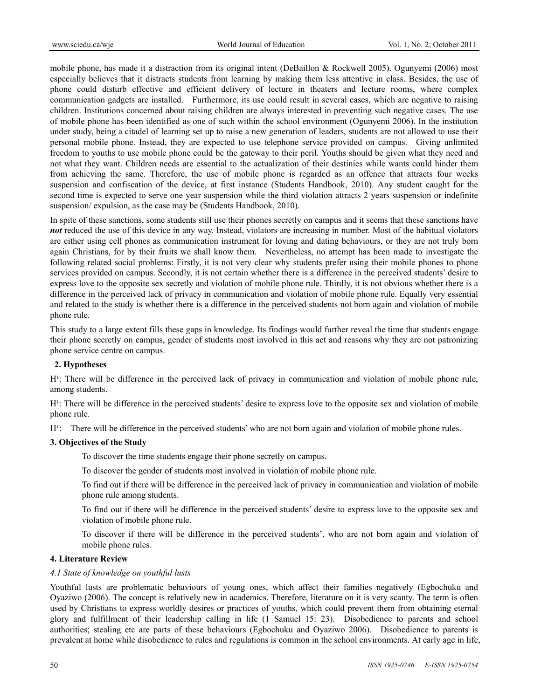mobile phone, has made it a distraction from its original intent (DeBaillon & Rockwell 2005). Ogunyemi (2006) most especially believes that it distracts students from learning by making them less attentive in class. Besides, the use of phone could disturb effective and efficient delivery of lecture in theaters and lecture rooms, where complex communication gadgets are installed. Furthermore, its use could result in several cases, which are negative to raising children. Institutions concerned about raising children are always interested in preventing such negative cases. The use of mobile phone has been identified as one of such within the school environment (Ogunyemi 2006). In the institution under study, being a citadel of learning set up to raise a new generation of leaders, students are not allowed to use their personal mobile phone. Instead, they are expected to use telephone service provided on campus. Giving unlimited freedom to youths to use mobile phone could be the gateway to their peril. Youths should be given what they need and not what they want. Children needs are essential to the actualization of their destinies while wants could hinder them from achieving the same. Therefore, the use of mobile phone is regarded as an offence that attracts four weeks suspension and confiscation of the device, at first instance (Students Handbook, 2010). Any student caught for the second time is expected to serve one year suspension while the third violation attracts 2 years suspension or indefinite suspension/ expulsion, as the case may be (Students Handbook, 2010).

In spite of these sanctions, some students still use their phones secretly on campus and it seems that these sanctions have *not* reduced the use of this device in any way. Instead, violators are increasing in number. Most of the habitual violators are either using cell phones as communication instrument for loving and dating behaviours, or they are not truly born again Christians, for by their fruits we shall know them. Nevertheless, no attempt has been made to investigate the following related social problems: Firstly, it is not very clear why students prefer using their mobile phones to phone services provided on campus. Secondly, it is not certain whether there is a difference in the perceived students' desire to express love to the opposite sex secretly and violation of mobile phone rule. Thirdly, it is not obvious whether there is a difference in the perceived lack of privacy in communication and violation of mobile phone rule. Equally very essential and related to the study is whether there is a difference in the perceived students not born again and violation of mobile phone rule.

This study to a large extent fills these gaps in knowledge. Its findings would further reveal the time that students engage their phone secretly on campus, gender of students most involved in this act and reasons why they are not patronizing phone service centre on campus.

## **2. Hypotheses**

H<sup> $\cdot$ </sup>: There will be difference in the perceived lack of privacy in communication and violation of mobile phone rule, among students.

H<sup>1</sup>: There will be difference in the perceived students' desire to express love to the opposite sex and violation of mobile phone rule.

 $H'$ : There will be difference in the perceived students' who are not born again and violation of mobile phone rules.

#### **3. Objectives of the Study**

To discover the time students engage their phone secretly on campus.

To discover the gender of students most involved in violation of mobile phone rule.

To find out if there will be difference in the perceived lack of privacy in communication and violation of mobile phone rule among students.

To find out if there will be difference in the perceived students' desire to express love to the opposite sex and violation of mobile phone rule.

To discover if there will be difference in the perceived students', who are not born again and violation of mobile phone rules.

#### **4. Literature Review**

#### *4.1 State of knowledge on youthful lusts*

Youthful lusts are problematic behaviours of young ones, which affect their families negatively (Egbochuku and Oyaziwo (2006). The concept is relatively new in academics. Therefore, literature on it is very scanty. The term is often used by Christians to express worldly desires or practices of youths, which could prevent them from obtaining eternal glory and fulfillment of their leadership calling in life (1 Samuel 15: 23). Disobedience to parents and school authorities; stealing etc are parts of these behaviours (Egbochuku and Oyaziwo 2006). Disobedience to parents is prevalent at home while disobedience to rules and regulations is common in the school environments. At early age in life,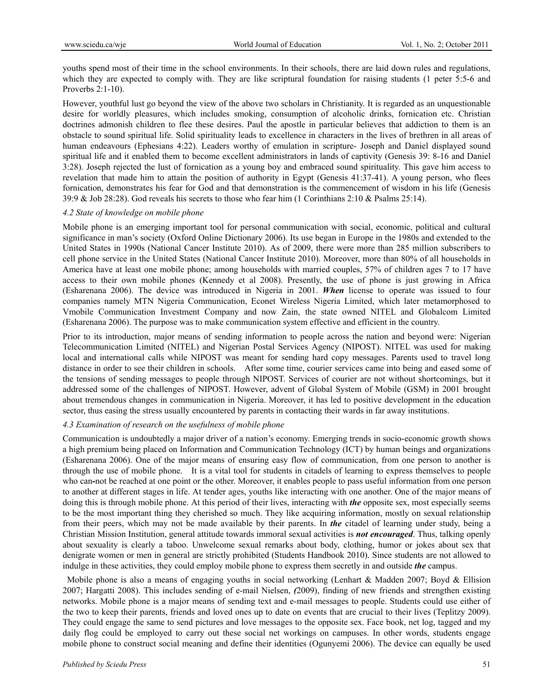youths spend most of their time in the school environments. In their schools, there are laid down rules and regulations, which they are expected to comply with. They are like scriptural foundation for raising students (1 peter 5:5-6 and Proverbs 2:1-10).

However, youthful lust go beyond the view of the above two scholars in Christianity. It is regarded as an unquestionable desire for worldly pleasures, which includes smoking, consumption of alcoholic drinks, fornication etc. Christian doctrines admonish children to flee these desires. Paul the apostle in particular believes that addiction to them is an obstacle to sound spiritual life. Solid spirituality leads to excellence in characters in the lives of brethren in all areas of human endeavours (Ephesians 4:22). Leaders worthy of emulation in scripture- Joseph and Daniel displayed sound spiritual life and it enabled them to become excellent administrators in lands of captivity (Genesis 39: 8-16 and Daniel 3:28). Joseph rejected the lust of fornication as a young boy and embraced sound spirituality. This gave him access to revelation that made him to attain the position of authority in Egypt (Genesis 41:37-41). A young person, who flees fornication, demonstrates his fear for God and that demonstration is the commencement of wisdom in his life (Genesis 39:9 & Job 28:28). God reveals his secrets to those who fear him (1 Corinthians 2:10 & Psalms 25:14).

#### *4.2 State of knowledge on mobile phone*

Mobile phone is an emerging important tool for personal communication with social, economic, political and cultural significance in man's society (Oxford Online Dictionary 2006). Its use began in Europe in the 1980s and extended to the United States in 1990s (National Cancer Institute 2010). As of 2009, there were more than 285 million subscribers to cell phone service in the United States (National Cancer Institute 2010). Moreover, more than 80% of all households in America have at least one mobile phone; among households with married couples, 57% of children ages 7 to 17 have access to their own mobile phones (Kennedy et al 2008). Presently, the use of phone is just growing in Africa (Esharenana 2006). The device was introduced in Nigeria in 2001. *When* license to operate was issued to four companies namely MTN Nigeria Communication, Econet Wireless Nigeria Limited, which later metamorphosed to Vmobile Communication Investment Company and now Zain, the state owned NITEL and Globalcom Limited (Esharenana 2006). The purpose was to make communication system effective and efficient in the country.

Prior to its introduction, major means of sending information to people across the nation and beyond were: Nigerian Telecommunication Limited (NITEL) and Nigerian Postal Services Agency (NIPOST). NITEL was used for making local and international calls while NIPOST was meant for sending hard copy messages. Parents used to travel long distance in order to see their children in schools. After some time, courier services came into being and eased some of the tensions of sending messages to people through NIPOST. Services of courier are not without shortcomings, but it addressed some of the challenges of NIPOST. However, advent of Global System of Mobile (GSM) in 2001 brought about tremendous changes in communication in Nigeria. Moreover, it has led to positive development in the education sector, thus easing the stress usually encountered by parents in contacting their wards in far away institutions.

#### *4.3 Examination of research on the usefulness of mobile phone*

Communication is undoubtedly a major driver of a nation's economy. Emerging trends in socio-economic growth shows a high premium being placed on Information and Communication Technology (ICT) by human beings and organizations (Esharenana 2006). One of the major means of ensuring easy flow of communication, from one person to another is through the use of mobile phone. It is a vital tool for students in citadels of learning to express themselves to people who can*-*not be reached at one point or the other. Moreover, it enables people to pass useful information from one person to another at different stages in life. At tender ages, youths like interacting with one another. One of the major means of doing this is through mobile phone. At this period of their lives, interacting with *the* opposite sex, most especially seems to be the most important thing they cherished so much. They like acquiring information, mostly on sexual relationship from their peers, which may not be made available by their parents. In *the* citadel of learning under study, being a Christian Mission Institution, general attitude towards immoral sexual activities is *not encouraged*. Thus, talking openly about sexuality is clearly a taboo. Unwelcome sexual remarks about body, clothing, humor or jokes about sex that denigrate women or men in general are strictly prohibited (Students Handbook 2010). Since students are not allowed to indulge in these activities, they could employ mobile phone to express them secretly in and outside *the* campus.

 Mobile phone is also a means of engaging youths in social networking (Lenhart & Madden 2007; Boyd & Ellision 2007; Hargatti 2008). This includes sending of e-mail Nielsen, *(*2009), finding of new friends and strengthen existing networks. Mobile phone is a major means of sending text and e-mail messages to people. Students could use either of the two to keep their parents, friends and loved ones up to date on events that are crucial to their lives (Teplitzy 2009). They could engage the same to send pictures and love messages to the opposite sex. Face book, net log, tagged and my daily flog could be employed to carry out these social net workings on campuses. In other words, students engage mobile phone to construct social meaning and define their identities (Ogunyemi 2006). The device can equally be used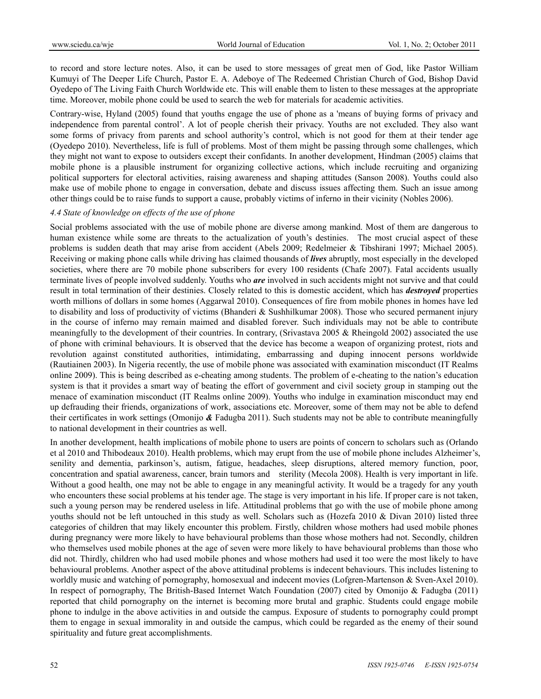to record and store lecture notes. Also, it can be used to store messages of great men of God, like Pastor William Kumuyi of The Deeper Life Church, Pastor E. A. Adeboye of The Redeemed Christian Church of God, Bishop David Oyedepo of The Living Faith Church Worldwide etc. This will enable them to listen to these messages at the appropriate time. Moreover, mobile phone could be used to search the web for materials for academic activities.

Contrary-wise, Hyland (2005) found that youths engage the use of phone as a 'means of buying forms of privacy and independence from parental control'. A lot of people cherish their privacy. Youths are not excluded. They also want some forms of privacy from parents and school authority's control, which is not good for them at their tender age (Oyedepo 2010). Nevertheless, life is full of problems. Most of them might be passing through some challenges, which they might not want to expose to outsiders except their confidants. In another development, Hindman (2005) claims that mobile phone is a plausible instrument for organizing collective actions, which include recruiting and organizing political supporters for electoral activities, raising awareness and shaping attitudes (Sanson 2008). Youths could also make use of mobile phone to engage in conversation, debate and discuss issues affecting them. Such an issue among other things could be to raise funds to support a cause, probably victims of inferno in their vicinity (Nobles 2006).

#### *4.4 State of knowledge on effects of the use of phone*

Social problems associated with the use of mobile phone are diverse among mankind. Most of them are dangerous to human existence while some are threats to the actualization of youth's destinies. The most crucial aspect of these problems is sudden death that may arise from accident (Abels 2009; Redelmeier & Tibshirani 1997; Michael 2005). Receiving or making phone calls while driving has claimed thousands of *lives* abruptly, most especially in the developed societies, where there are 70 mobile phone subscribers for every 100 residents (Chafe 2007). Fatal accidents usually terminate lives of people involved suddenly. Youths who *are* involved in such accidents might not survive and that could result in total termination of their destinies. Closely related to this is domestic accident, which has *destroyed* properties worth millions of dollars in some homes (Aggarwal 2010). Consequences of fire from mobile phones in homes have led to disability and loss of productivity of victims (Bhanderi & Sushhilkumar 2008). Those who secured permanent injury in the course of inferno may remain maimed and disabled forever. Such individuals may not be able to contribute meaningfully to the development of their countries. In contrary, (Srivastava 2005 & Rheingold 2002) associated the use of phone with criminal behaviours. It is observed that the device has become a weapon of organizing protest, riots and revolution against constituted authorities, intimidating, embarrassing and duping innocent persons worldwide (Rautiainen 2003). In Nigeria recently, the use of mobile phone was associated with examination misconduct (IT Realms online 2009). This is being described as e-cheating among students. The problem of e-cheating to the nation's education system is that it provides a smart way of beating the effort of government and civil society group in stamping out the menace of examination misconduct (IT Realms online 2009). Youths who indulge in examination misconduct may end up defrauding their friends, organizations of work, associations etc. Moreover, some of them may not be able to defend their certificates in work settings (Omonijo *&* Fadugba 2011). Such students may not be able to contribute meaningfully to national development in their countries as well.

In another development, health implications of mobile phone to users are points of concern to scholars such as (Orlando et al 2010 and Thibodeaux 2010). Health problems, which may erupt from the use of mobile phone includes Alzheimer's, senility and dementia, parkinson's, autism, fatigue, headaches, sleep disruptions, altered memory function, poor, concentration and spatial awareness, cancer, brain tumors and sterility (Mecola 2008). Health is very important in life. Without a good health, one may not be able to engage in any meaningful activity. It would be a tragedy for any youth who encounters these social problems at his tender age. The stage is very important in his life. If proper care is not taken, such a young person may be rendered useless in life. Attitudinal problems that go with the use of mobile phone among youths should not be left untouched in this study as well. Scholars such as (Hozefa 2010 & Divan 2010) listed three categories of children that may likely encounter this problem. Firstly, children whose mothers had used mobile phones during pregnancy were more likely to have behavioural problems than those whose mothers had not. Secondly, children who themselves used mobile phones at the age of seven were more likely to have behavioural problems than those who did not. Thirdly, children who had used mobile phones and whose mothers had used it too were the most likely to have behavioural problems. Another aspect of the above attitudinal problems is indecent behaviours. This includes listening to worldly music and watching of pornography, homosexual and indecent movies (Lofgren-Martenson & Sven-Axel 2010). In respect of pornography, The British-Based Internet Watch Foundation (2007) cited by Omonijo & Fadugba (2011) reported that child pornography on the internet is becoming more brutal and graphic. Students could engage mobile phone to indulge in the above activities in and outside the campus. Exposure of students to pornography could prompt them to engage in sexual immorality in and outside the campus, which could be regarded as the enemy of their sound spirituality and future great accomplishments.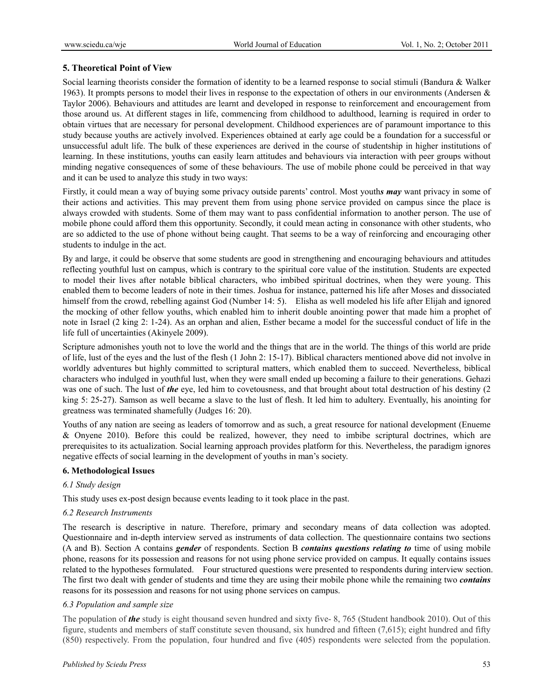## **5. Theoretical Point of View**

Social learning theorists consider the formation of identity to be a learned response to social stimuli (Bandura & Walker 1963). It prompts persons to model their lives in response to the expectation of others in our environments (Andersen  $\&$ Taylor 2006). Behaviours and attitudes are learnt and developed in response to reinforcement and encouragement from those around us. At different stages in life, commencing from childhood to adulthood, learning is required in order to obtain virtues that are necessary for personal development. Childhood experiences are of paramount importance to this study because youths are actively involved. Experiences obtained at early age could be a foundation for a successful or unsuccessful adult life. The bulk of these experiences are derived in the course of studentship in higher institutions of learning. In these institutions, youths can easily learn attitudes and behaviours via interaction with peer groups without minding negative consequences of some of these behaviours. The use of mobile phone could be perceived in that way and it can be used to analyze this study in two ways:

Firstly, it could mean a way of buying some privacy outside parents' control. Most youth*s may* want privacy in some of their actions and activities. This may prevent them from using phone service provided on campus since the place is always crowded with students. Some of them may want to pass confidential information to another person. The use of mobile phone could afford them this opportunity. Secondly, it could mean acting in consonance with other students, who are so addicted to the use of phone without being caught. That seems to be a way of reinforcing and encouraging other students to indulge in the act.

By and large, it could be observe that some students are good in strengthening and encouraging behaviours and attitudes reflecting youthful lust on campus, which is contrary to the spiritual core value of the institution. Students are expected to model their lives after notable biblical characters, who imbibed spiritual doctrines, when they were young. This enabled them to become leaders of note in their times. Joshua for instance, patterned his life after Moses and dissociated himself from the crowd, rebelling against God (Number 14: 5). Elisha as well modeled his life after Elijah and ignored the mocking of other fellow youths, which enabled him to inherit double anointing power that made him a prophet of note in Israel (2 king 2: 1-24). As an orphan and alien, Esther became a model for the successful conduct of life in the life full of uncertainties (Akinyele 2009).

Scripture admonishes youth not to love the world and the things that are in the world. The things of this world are pride of life, lust of the eyes and the lust of the flesh (1 John 2: 15-17). Biblical characters mentioned above did not involve in worldly adventures but highly committed to scriptural matters, which enabled them to succeed. Nevertheless, biblical characters who indulged in youthful lust, when they were small ended up becoming a failure to their generations. Gehazi was one of such. The lust of **the** eye, led him to covetousness, and that brought about total destruction of his destiny (2) king 5: 25-27). Samson as well became a slave to the lust of flesh. It led him to adultery. Eventually, his anointing for greatness was terminated shamefully (Judges 16: 20).

Youths of any nation are seeing as leaders of tomorrow and as such, a great resource for national development (Enueme & Onyene 2010). Before this could be realized, however, they need to imbibe scriptural doctrines, which are prerequisites to its actualization. Social learning approach provides platform for this. Nevertheless, the paradigm ignores negative effects of social learning in the development of youths in man's society.

#### **6. Methodological Issues**

#### *6.1 Study design*

This study uses ex-post design because events leading to it took place in the past.

#### *6.2 Research Instruments*

The research is descriptive in nature. Therefore, primary and secondary means of data collection was adopted. Questionnaire and in-depth interview served as instruments of data collection. The questionnaire contains two sections (A and B). Section A contains *gender* of respondents. Section B *contains questions relating to* time of using mobile phone, reasons for its possession and reasons for not using phone service provided on campus. It equally contains issues related to the hypotheses formulated. Four structured questions were presented to respondents during interview section. The first two dealt with gender of students and time they are using their mobile phone while the remaining two *contains* reasons for its possession and reasons for not using phone services on campus.

#### *6.3 Population and sample size*

The population of *the* study is eight thousand seven hundred and sixty five- 8, 765 (Student handbook 2010). Out of this figure, students and members of staff constitute seven thousand, six hundred and fifteen (7,615); eight hundred and fifty (850) respectively. From the population, four hundred and five (405) respondents were selected from the population.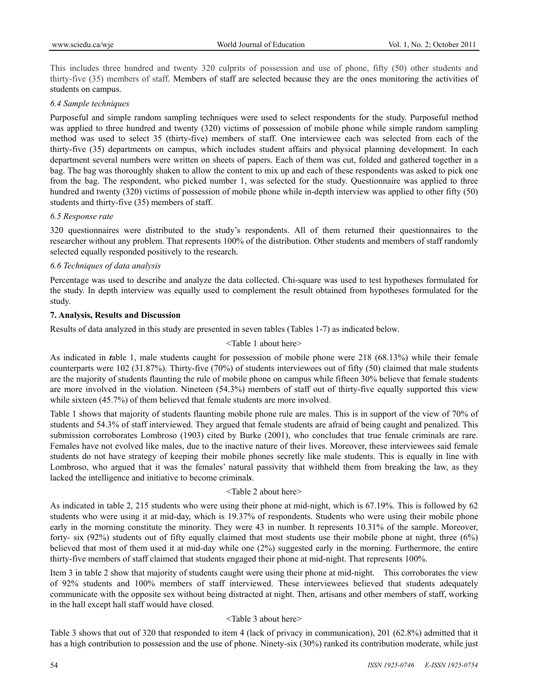This includes three hundred and twenty 320 culprits of possession and use of phone, fifty (50) other students and thirty-five (35) members of staff. Members of staff are selected because they are the ones monitoring the activities of students on campus.

#### *6.4 Sample techniques*

Purposeful and simple random sampling techniques were used to select respondents for the study. Purposeful method was applied to three hundred and twenty (320) victims of possession of mobile phone while simple random sampling method was used to select 35 (thirty-five) members of staff. One interviewee each was selected from each of the thirty-five (35) departments on campus, which includes student affairs and physical planning development. In each department several numbers were written on sheets of papers. Each of them was cut, folded and gathered together in a bag. The bag was thoroughly shaken to allow the content to mix up and each of these respondents was asked to pick one from the bag. The respondent, who picked number 1, was selected for the study. Questionnaire was applied to three hundred and twenty (320) victims of possession of mobile phone while in-depth interview was applied to other fifty (50) students and thirty-five (35) members of staff.

#### *6.5 Response rate*

320 questionnaires were distributed to the study's respondents. All of them returned their questionnaires to the researcher without any problem. That represents 100% of the distribution. Other students and members of staff randomly selected equally responded positively to the research.

#### *6.6 Techniques of data analysis*

Percentage was used to describe and analyze the data collected. Chi-square was used to test hypotheses formulated for the study. In depth interview was equally used to complement the result obtained from hypotheses formulated for the study.

#### **7. Analysis, Results and Discussion**

Results of data analyzed in this study are presented in seven tables (Tables 1-7) as indicated below.

#### <Table 1 about here>

As indicated in *t*able 1, male students caught for possession of mobile phone were 218 (68.13%) while their female counterparts were 102 (31.87%). Thirty-five (70%) of students interviewees out of fifty (50) claimed that male students are the majority of students flaunting the rule of mobile phone on campus while fifteen 30% believe that female students are more involved in the violation. Nineteen (54.3%) members of staff out of thirty-five equally supported this view while sixteen (45.7%) of them believed that female students are more involved.

Table 1 shows that majority of students flaunting mobile phone rule are males. This is in support of the view of 70% of students and 54.3% of staff interviewed. They argued that female students are afraid of being caught and penalized. This submission corroborates Lombroso (1903) cited by Burke (2001), who concludes that true female criminals are rare. Females have not evolved like males, due to the inactive nature of their lives. Moreover, these interviewees said female students do not have strategy of keeping their mobile phones secretly like male students. This is equally in line with Lombroso, who argued that it was the females' natural passivity that withheld them from breaking the law, as they lacked the intelligence and initiative to become criminal*s*.

#### <Table 2 about here>

As indicated in table 2, 215 students who were using their phone at mid-night, which is 67.19%. This is followed by 62 students who were using it at mid-day, which is 19.37% of respondents. Students who were using their mobile phone early in the morning constitute the minority. They were 43 in number. It represents 10.31% of the sample. Moreover, forty- six (92%) students out of fifty equally claimed that most students use their mobile phone at night, three (6%) believed that most of them used it at mid-day while one (2%) suggested early in the morning. Furthermore, the entire thirty-five members of staff claimed that students engaged their phone at mid-night. That represents 100%.

Item 3 in table 2 show that majority of students caught were using their phone at mid-night. This corroborates the view of 92% students and 100% members of staff interviewed. These interviewees believed that students adequately communicate with the opposite sex without being distracted at night. Then, artisans and other members of staff, working in the hall except hall staff would have closed.

#### <Table 3 about here>

Table 3 shows that out of 320 that responded to item 4 (lack of privacy in communication), 201 (62.8%) admitted that it has a high contribution to possession and the use of phone. Ninety-six (30%) ranked its contribution moderate, while just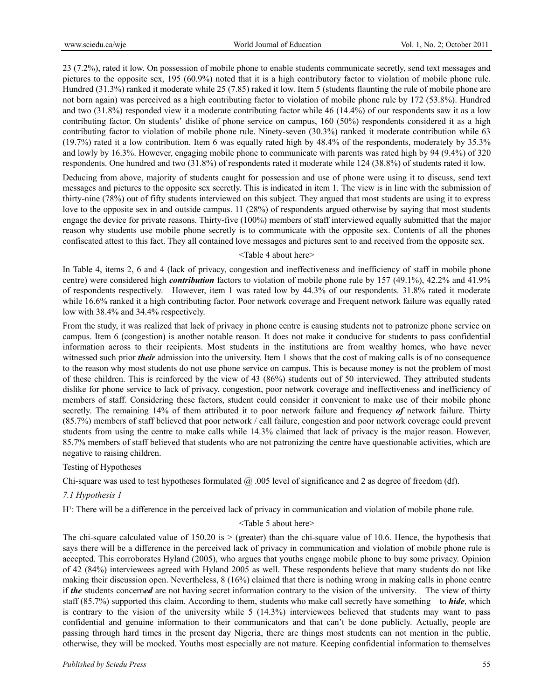23 (7.2%), rated it low. On possession of mobile phone to enable students communicate secretly, send text messages and pictures to the opposite sex, 195 (60.9%) noted that it is a high contributory factor to violation of mobile phone rule. Hundred (31.3%) ranked it moderate while 25 (7.85) raked it low. Item 5 (students flaunting the rule of mobile phone are not born again) was perceived as a high contributing factor to violation of mobile phone rule by 172 (53.8%). Hundred and two (31.8%) responded view it a moderate contributing factor while 46 (14.4%) of our respondents saw it as a low contributing factor. On students' dislike of phone service on campus, 160 (50%) respondents considered it as a high contributing factor to violation of mobile phone rule. Ninety-seven (30.3%) ranked it moderate contribution while 63 (19.7%) rated it a low contribution. Item 6 was equally rated high by 48.4% of the respondents, moderately by 35.3% and lowly by 16.3%. However, engaging mobile phone to communicate with parents was rated high by 94 (9.4%) of 320 respondents. One hundred and two (31.8%) of respondents rated it moderate while 124 (38.8%) of students rated it low.

Deducing from above, majority of students caught for possession and use of phone were using it to discuss, send text messages and pictures to the opposite sex secretly. This is indicated in item 1. The view is in line with the submission of thirty-nine (78%) out of fifty students interviewed on this subject. They argued that most students are using it to express love to the opposite sex in and outside campus. 11 (28%) of respondents argued otherwise by saying that most students engage the device for private reasons. Thirty-five (100%) members of staff interviewed equally submitted that the major reason why students use mobile phone secretly is to communicate with the opposite sex. Contents of all the phones confiscated attest to this fact. They all contained love messages and pictures sent to and received from the opposite sex.

#### <Table 4 about here>

In Table 4, items 2, 6 and 4 (lack of privacy, congestion and ineffectiveness and inefficiency of staff in mobile phone centre) were considered high *contribution* factors to violation of mobile phone rule by 157 (49.1%), 42.2% and 41.9% of respondents respectively. However, item 1 was rated low by 44.3% of our respondents. 31.8% rated it moderate while 16.6% ranked it a high contributing factor. Poor network coverage and Frequent network failure was equally rated low with 38.4% and 34.4% respectively.

From the study, it was realized that lack of privacy in phone centre is causing students not to patronize phone service on campus. Item 6 (congestion) is another notable reason. It does not make it conducive for students to pass confidential information across to their recipients. Most students in the institutions are from wealthy homes, who have never witnessed such prior *their* admission into the university. Item 1 shows that the cost of making calls is of no consequence to the reason why most students do not use phone service on campus. This is because money is not the problem of most of these children. This is reinforced by the view of 43 (86%) students out of 50 interviewed. They attributed students dislike for phone service to lack of privacy, congestion, poor network coverage and ineffectiveness and inefficiency of members of staff. Considering these factors, student could consider it convenient to make use of their mobile phone secretly. The remaining 14% of them attributed it to poor network failure and frequency *of* network failure. Thirty (85.7%) members of staff believed that poor network / call failure, congestion and poor network coverage could prevent students from using the centre to make calls while 14.3% claimed that lack of privacy is the major reason. However, 85.7% members of staff believed that students who are not patronizing the centre have questionable activities, which are negative to raising children.

#### Testing of Hypotheses

Chi-square was used to test hypotheses formulated  $\omega$  .005 level of significance and 2 as degree of freedom (df).

#### *7.1 Hypothesis 1*

H<sup>1</sup>: There will be a difference in the perceived lack of privacy in communication and violation of mobile phone rule.

#### <Table 5 about here>

The chi-square calculated value of  $150.20$  is  $>$  (greater) than the chi-square value of 10.6. Hence, the hypothesis that says there will be a difference in the perceived lack of privacy in communication and violation of mobile phone rule is accepted. This corroborates Hyland (2005), who argues that youths engage mobile phone to buy some privacy. Opinion of 42 (84%) interviewees agreed with Hyland 2005 as well. These respondents believe that many students do not like making their discussion open. Nevertheless, 8 (16%) claimed that there is nothing wrong in making calls in phone centre if *the* students concern*ed* are not having secret information contrary to the vision of the university. The view of thirty staff (85.7%) supported this claim. According to them, students who make call secretly have something to *hide*, which is contrary to the vision of the university while 5 (14.3%) interviewees believed that students may want to pass confidential and genuine information to their communicators and that can't be done publicly. Actually, people are passing through hard times in the present day Nigeria, there are things most students can not mention in the public, otherwise, they will be mocked. Youths most especially are not mature. Keeping confidential information to themselves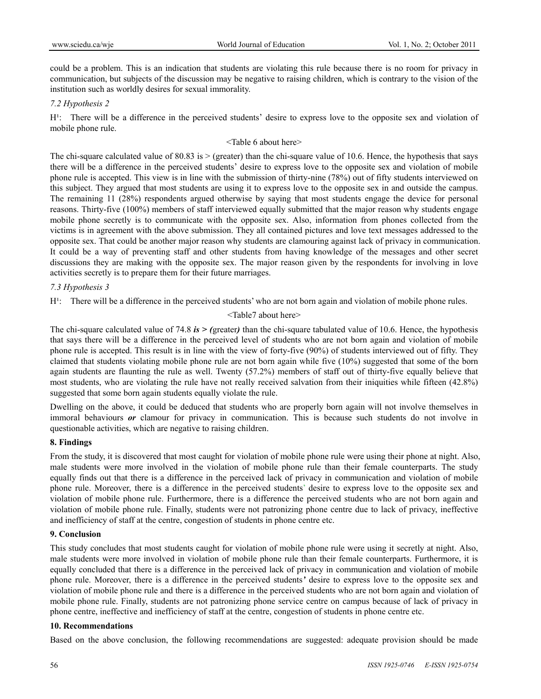could be a problem. This is an indication that students are violating this rule because there is no room for privacy in communication, but subjects of the discussion may be negative to raising children, which is contrary to the vision of the institution such as worldly desires for sexual immorality.

#### *7.2 Hypothesis 2*

H<sup>1</sup>: There will be a difference in the perceived students' desire to express love to the opposite sex and violation of mobile phone rule.

<Table 6 about here>

The chi-square calculated value of  $80.83$  is  $>$  (greater) than the chi-square value of 10.6. Hence, the hypothesis that says there will be a difference in the perceived students' desire to express love to the opposite sex and violation of mobile phone rule is accepted. This view is in line with the submission of thirty-nine (78%) out of fifty students interviewed on this subject. They argued that most students are using it to express love to the opposite sex in and outside the campus. The remaining 11 (28%) respondents argued otherwise by saying that most students engage the device for personal reasons. Thirty-five (100%) members of staff interviewed equally submitted that the major reason why students engage mobile phone secretly is to communicate with the opposite sex. Also, information from phones collected from the victims is in agreement with the above submission. They all contained pictures and love text messages addressed to the opposite sex. That could be another major reason why students are clamouring against lack of privacy in communication. It could be a way of preventing staff and other students from having knowledge of the messages and other secret discussions they are making with the opposite sex. The major reason given by the respondents for involving in love activities secretly is to prepare them for their future marriages.

## *7.3 Hypothesis 3*

H<sup>1</sup>: There will be a difference in the perceived students' who are not born again and violation of mobile phone rules.

<Table7 about here>

The chi-square calculated value of 74.8  $\dot{s}$  > (greater) than the chi-square tabulated value of 10.6. Hence, the hypothesis that says there will be a difference in the perceived level of students who are not born again and violation of mobile phone rule is accepted. This result is in line with the view of forty-five (90%) of students interviewed out of fifty. They claimed that students violating mobile phone rule are not born again while five (10%) suggested that some of the born again students are flaunting the rule as well. Twenty (57.2%) members of staff out of thirty-five equally believe that most students, who are violating the rule have not really received salvation from their iniquities while fifteen (42.8%) suggested that some born again students equally violate the rule.

Dwelling on the above, it could be deduced that students who are properly born again will not involve themselves in immoral behaviours *or* clamour for privacy in communication. This is because such students do not involve in questionable activities, which are negative to raising children.

#### **8. Findings**

From the study, it is discovered that most caught for violation of mobile phone rule were using their phone at night. Also, male students were more involved in the violation of mobile phone rule than their female counterparts. The study equally finds out that there is a difference in the perceived lack of privacy in communication and violation of mobile phone rule. Moreover, there is a difference in the perceived students' desire to express love to the opposite sex and violation of mobile phone rule. Furthermore, there is a difference the perceived students who are not born again and violation of mobile phone rule. Finally, students were not patronizing phone centre due to lack of privacy, ineffective and inefficiency of staff at the centre, congestion of students in phone centre etc.

#### **9. Conclusion**

This study concludes that most students caught for violation of mobile phone rule were using it secretly at night. Also, male students were more involved in violation of mobile phone rule than their female counterparts. Furthermore, it is equally concluded that there is a difference in the perceived lack of privacy in communication and violation of mobile phone rule. Moreover, there is a difference in the perceived students*'* desire to express love to the opposite sex and violation of mobile phone rule and there is a difference in the perceived students who are not born again and violation of mobile phone rule. Finally, students are not patronizing phone service centre on campus because of lack of privacy in phone centre, ineffective and inefficiency of staff at the centre, congestion of students in phone centre etc.

#### **10. Recommendations**

Based on the above conclusion, the following recommendations are suggested: adequate provision should be made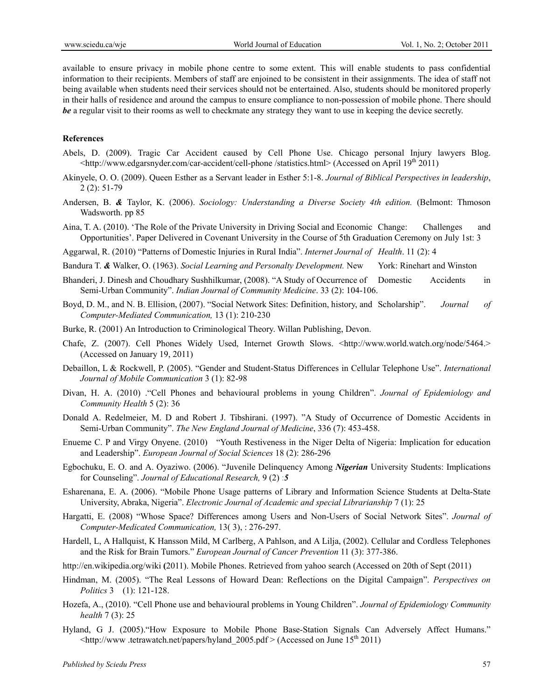available to ensure privacy in mobile phone centre to some extent. This will enable students to pass confidential information to their recipients. Members of staff are enjoined to be consistent in their assignments. The idea of staff not being available when students need their services should not be entertained. Also, students should be monitored properly in their halls of residence and around the campus to ensure compliance to non-possession of mobile phone. There should *be* a regular visit to their rooms as well to checkmate any strategy they want to use in keeping the device secretly.

#### **References**

- Abels, D. (2009). Tragic Car Accident caused by Cell Phone Use. Chicago personal Injury lawyers Blog.  $\lt$ http://www.edgarsnyder.com/car-accident/cell-phone /statistics.html> (Accessed on April 19<sup>th</sup> 2011)
- Akinyele, O. O. (2009). Queen Esther as a Servant leader in Esther 5:1-8. *Journal of Biblical Perspectives in leadership*, 2 (2): 51-79
- Andersen, B. *&* Taylor, K. (2006). *Sociology: Understanding a Diverse Society 4th edition.* (Belmont: Thmoson Wadsworth. pp 85
- Aina, T. A. (2010). 'The Role of the Private University in Driving Social and Economic Change: Challenges and Opportunities'. Paper Delivered in Covenant University in the Course of 5th Graduation Ceremony on July 1st: 3
- Aggarwal, R. (2010) "Patterns of Domestic Injuries in Rural India". *Internet Journal of Health*. 11 (2): 4
- Bandura T. & Walker, O. (1963). *Social Learning and Personalty Development*. New York: Rinehart and Winston
- Bhanderi, J. Dinesh and Choudhary Sushhilkumar, (2008). "A Study of Occurrence of Domestic Accidents in Semi-Urban Community". *Indian Journal of Community Medicine*. 33 (2): 104-106.
- Boyd, D. M., and N. B. Ellision, (2007). "Social Network Sites: Definition, history, and Scholarship". *Journal of Computer-Mediated Communication,* 13 (1): 210-230
- Burke, R. (2001) An Introduction to Criminological Theory. Willan Publishing, Devon.
- Chafe, Z. (2007). Cell Phones Widely Used, Internet Growth Slows. <http://www.world.watch.org/node/5464.> (Accessed on January 19, 2011)
- Debaillon, L & Rockwell, P. (2005). "Gender and Student-Status Differences in Cellular Telephone Use". *International Journal of Mobile Communication* 3 (1): 82-98
- Divan, H. A. (2010) ."Cell Phones and behavioural problems in young Children". *Journal of Epidemiology and Community Health* 5 (2): 36
- Donald A. Redelmeier, M. D and Robert J. Tibshirani. (1997). "A Study of Occurrence of Domestic Accidents in Semi-Urban Community". *The New England Journal of Medicine*, 336 (7): 453-458.
- Enueme C. P and Virgy Onyene. (2010) "Youth Restiveness in the Niger Delta of Nigeria: Implication for education and Leadership". *European Journal of Social Sciences* 18 (2): 286-296
- Egbochuku, E. O. and A. Oyaziwo. (2006). "Juvenile Delinquency Among *Nigerian* University Students: Implications for Counseling". *Journal of Educational Research,* 9 (2) :*5*
- Esharenana, E. A. (2006). "Mobile Phone Usage patterns of Library and Information Science Students at Delta-State University, Abraka, Nigeria". *Electronic Journal of Academic and special Librarianship* 7 (1): 25
- Hargatti, E. (2008) "Whose Space? Differences among Users and Non-Users of Social Network Sites". *Journal of Computer-Medicated Communication,* 13( 3), : 276-297.
- Hardell, L, A Hallquist, K Hansson Mild, M Carlberg, A Pahlson, and A Lilja, (2002). Cellular and Cordless Telephones and the Risk for Brain Tumors." *European Journal of Cancer Prevention* 11 (3): 377-386.
- http://en.wikipedia.org/wiki **(**2011). Mobile Phones. Retrieved from yahoo search (Accessed on 20th of Sept (2011)
- Hindman, M. (2005). "The Real Lessons of Howard Dean: Reflections on the Digital Campaign". *Perspectives on Politics* 3 (1): 121-128.
- Hozefa, A., (2010). "Cell Phone use and behavioural problems in Young Children". *Journal of Epidemiology Community health* 7 (3): 25
- Hyland, G J. (2005)."How Exposure to Mobile Phone Base-Station Signals Can Adversely Affect Humans."  $\langle \text{http://www.tetrawatch.net/papers/hyland 2005.pdf} \rangle (Accessed on June 15<sup>th</sup> 2011)$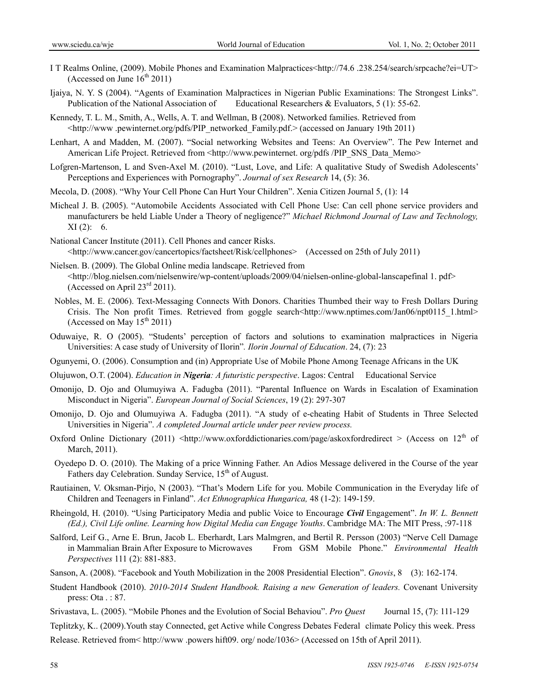- I T Realms Online, (2009). Mobile Phones and Examination Malpractices<http://74.6 .238.254/search/srpcache?ei=UT> (Accessed on June  $16<sup>th</sup> 2011$ )
- Ijaiya, N. Y. S (2004). "Agents of Examination Malpractices in Nigerian Public Examinations: The Strongest Links". Publication of the National Association of Educational Researchers & Evaluators, 5 (1): 55-62.
- Kennedy, T. L. M., Smith, A., Wells, A. T. and Wellman, B (2008). Networked families. Retrieved from <http://www .pewinternet.org/pdfs/PIP\_networked\_Family.pdf.> (accessed on January 19th 2011)
- Lenhart, A and Madden, M. (2007). "Social networking Websites and Teens: An Overview". The Pew Internet and American Life Project. Retrieved from <http://www.pewinternet. org/pdfs /PIP\_SNS\_Data\_Memo>
- Lofgren-Martenson, L and Sven-Axel M. (2010). "Lust, Love, and Life: A qualitative Study of Swedish Adolescents' Perceptions and Experiences with Pornography". *Journal of sex Research* 14, (5): 36.
- Mecola, D. (2008). "Why Your Cell Phone Can Hurt Your Children". Xenia Citizen Journal 5, (1): 14
- Micheal J. B. (2005). "Automobile Accidents Associated with Cell Phone Use: Can cell phone service providers and manufacturers be held Liable Under a Theory of negligence?" *Michael Richmond Journal of Law and Technology,*  $XI (2): 6.$
- National Cancer Institute (2011). Cell Phones and cancer Risks. <http://www.cancer.gov/cancertopics/factsheet/Risk/cellphones> (Accessed on 25th of July 2011)
- Nielsen. B. (2009). The Global Online media landscape. Retrieved from <http://blog.nielsen.com/nielsenwire/wp-content/uploads/2009/04/nielsen-online-global-lanscapefinal 1. pdf> (Accessed on April  $23<sup>rd</sup> 2011$ ).
- Nobles, M. E. (2006). Text-Messaging Connects With Donors. Charities Thumbed their way to Fresh Dollars During Crisis. The Non profit Times. Retrieved from goggle search<http://www.nptimes.com/Jan06/npt0115 1.html> (Accessed on May  $15<sup>th</sup> 2011$ )
- Oduwaiye, R. O (2005). "Students' perception of factors and solutions to examination malpractices in Nigeria Universities: A case study of University of Ilorin"*. Ilorin Journal of Education*. 24, (7): 23
- Ogunyemi, O. (2006). Consumption and (in) Appropriate Use of Mobile Phone Among Teenage Africans in the UK
- Olujuwon, O.T. (2004). *Education in Nigeria: A futuristic perspective*. Lagos: Central Educational Service
- Omonijo, D. Ojo and Olumuyiwa A. Fadugba (2011). "Parental Influence on Wards in Escalation of Examination Misconduct in Nigeria". *European Journal of Social Sciences*, 19 (2): 297-307
- Omonijo, D. Ojo and Olumuyiwa A. Fadugba (2011). "A study of e-cheating Habit of Students in Three Selected Universities in Nigeria". *A completed Journal article under peer review process.*
- Oxford Online Dictionary (2011)  $\lt$ http://www.oxforddictionaries.com/page/askoxfordredirect  $>$  (Access on 12<sup>th</sup> of March, 2011).
- Oyedepo D. O. (2010). The Making of a price Winning Father. An Adios Message delivered in the Course of the year Fathers day Celebration. Sunday Service, 15<sup>th</sup> of August.
- Rautiainen, V. Oksman-Pirjo, N (2003). "That's Modern Life for you. Mobile Communication in the Everyday life of Children and Teenagers in Finland". *Act Ethnographica Hungarica,* 48 (1-2): 149-159.
- Rheingold, H. (2010). "Using Participatory Media and public Voice to Encourage *Civil* Engagement". *In W. L. Bennett (Ed.), Civil Life online. Learning how Digital Media can Engage Youths*. Cambridge MA: The MIT Press, :97-118
- Salford, Leif G., Arne E. Brun, Jacob L. Eberhardt, Lars Malmgren, and Bertil R. Persson (2003) "Nerve Cell Damage in Mammalian Brain After Exposure to Microwaves From GSM Mobile Phone." *Environmental Health Perspectives* 111 (2): 881-883.
- Sanson, A. (2008). "Facebook and Youth Mobilization in the 2008 Presidential Election". *Gnovis*, 8 (3): 162-174.
- Student Handbook (2010). *2010-2014 Student Handbook. Raising a new Generation of leaders.* Covenant University press: Ota . : 87.
- Srivastava, L. (2005). "Mobile Phones and the Evolution of Social Behaviou". *Pro Quest* Journal 15, (7): 111-129

Teplitzky, K.. (2009).Youth stay Connected, get Active while Congress Debates Federal climate Policy this week. Press Release. Retrieved from< http://www .powers hift09. org/ node/1036> (Accessed on 15th of April 2011).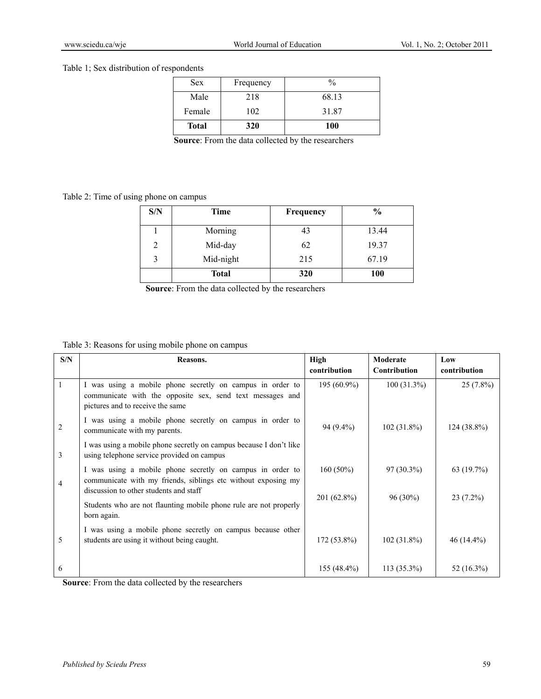## Table 1; Sex distribution of respondents

| <b>Sex</b>   | Frequency | $\%$  |
|--------------|-----------|-------|
| Male         | 218       | 68.13 |
| Female       | 102       | 31.87 |
| <b>Total</b> | 320       | 100   |

**Source**: From the data collected by the researchers

## Table 2: Time of using phone on campus

| S/N | Time         | Frequency | $\frac{6}{9}$ |
|-----|--------------|-----------|---------------|
|     | Morning      | 43        | 13.44         |
| 2   | Mid-day      | 62        | 19.37         |
| 3   | Mid-night    | 215       | 67.19         |
|     | <b>Total</b> | 320       | 100           |

**Source**: From the data collected by the researchers

## Table 3: Reasons for using mobile phone on campus

| S/N            | Reasons.                                                                                                                                                   | High<br>contribution | Moderate<br>Contribution | Low<br>contribution |
|----------------|------------------------------------------------------------------------------------------------------------------------------------------------------------|----------------------|--------------------------|---------------------|
|                | I was using a mobile phone secretly on campus in order to<br>communicate with the opposite sex, send text messages and<br>pictures and to receive the same | $195(60.9\%)$        | $100(31.3\%)$            | $25(7.8\%)$         |
| $\overline{2}$ | I was using a mobile phone secretly on campus in order to<br>communicate with my parents.                                                                  | $94(9.4\%)$          | $102(31.8\%)$            | $124(38.8\%)$       |
| 3              | I was using a mobile phone secretly on campus because I don't like<br>using telephone service provided on campus                                           |                      |                          |                     |
| $\overline{4}$ | I was using a mobile phone secretly on campus in order to<br>communicate with my friends, siblings etc without exposing my                                 | $160(50\%)$          | $97(30.3\%)$             | 63 $(19.7%)$        |
|                | discussion to other students and staff<br>Students who are not flaunting mobile phone rule are not properly<br>born again.                                 | 201 (62.8%)          | 96 (30%)                 | $23(7.2\%)$         |
| 5              | I was using a mobile phone secretly on campus because other<br>students are using it without being caught.                                                 | $172(53.8\%)$        | $102(31.8\%)$            | $46(14.4\%)$        |
| 6              |                                                                                                                                                            | $155(48.4\%)$        | $113(35.3\%)$            | 52 $(16.3\%)$       |

**Source**: From the data collected by the researchers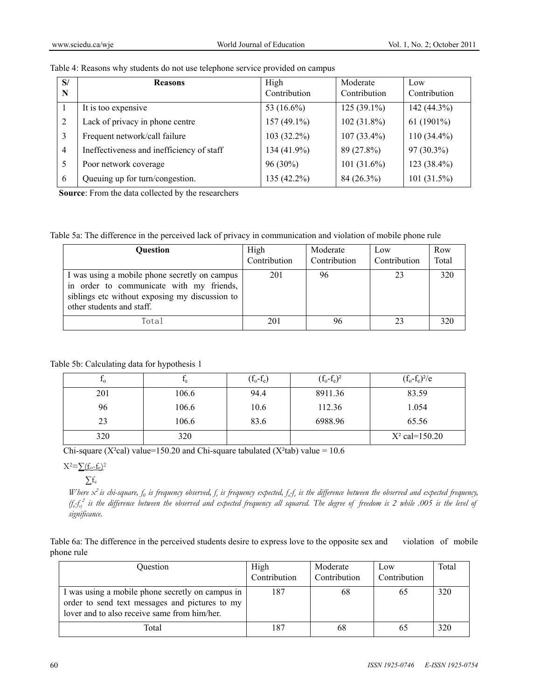| S/<br>N        | <b>Reasons</b>                            | High<br>Contribution | Moderate<br>Contribution | Low<br>Contribution |
|----------------|-------------------------------------------|----------------------|--------------------------|---------------------|
|                | It is too expensive                       | 53 (16.6%)           | $125(39.1\%)$            | $142(44.3\%)$       |
| 2              | Lack of privacy in phone centre           | $157(49.1\%)$        | 102 (31.8%)              | $61(1901\%)$        |
| 3              | Frequent network/call failure             | $103(32.2\%)$        | $107(33.4\%)$            | $110(34.4\%)$       |
| $\overline{4}$ | Ineffectiveness and inefficiency of staff | 134 (41.9%)          | 89 (27.8%)               | $97(30.3\%)$        |
| 5              | Poor network coverage                     | $96(30\%)$           | 101 $(31.6\%)$           | 123 (38.4%)         |
| 6              | Queuing up for turn/congestion.           | 135 (42.2%)          | 84 (26.3%)               | 101 $(31.5\%)$      |

Table 4: Reasons why students do not use telephone service provided on campus

**Source**: From the data collected by the researchers

Table 5a: The difference in the perceived lack of privacy in communication and violation of mobile phone rule

| <b>Ouestion</b>                                                                                                                                                          | High         | Moderate     | Low          | Row   |
|--------------------------------------------------------------------------------------------------------------------------------------------------------------------------|--------------|--------------|--------------|-------|
|                                                                                                                                                                          | Contribution | Contribution | Contribution | Total |
| I was using a mobile phone secretly on campus<br>in order to communicate with my friends,<br>siblings etc without exposing my discussion to<br>other students and staff. | 201          | 96           | 23           | 320   |
| Total                                                                                                                                                                    | 201          |              | 23           | 320   |

#### Table 5b: Calculating data for hypothesis 1

| $\mathbf{r}^0$ | ⊥e    | $(f_o-f_e)$ | $(f_o - f_e)^2$ | $(f_o - f_e)^2/e$ |
|----------------|-------|-------------|-----------------|-------------------|
| 201            | 106.6 | 94.4        | 8911.36         | 83.59             |
| 96             | 106.6 | 10.6        | 112.36          | 1.054             |
| 23             | 106.6 | 83.6        | 6988.96         | 65.56             |
| 320            | 320   |             |                 | $X^2$ cal=150.20  |

Chi-square (X<sup>2</sup>cal) value=150.20 and Chi-square tabulated (X<sup>2</sup>tab) value = 10.6

 $X^2 = \sum (f_o - f_e)^2$ 

 $\sum f_e$ 

Where  $x^2$  is chi-square,  $f_0$  is frequency observed,  $f_e$  is frequency expected,  $f_\sigma f_e$  is the difference between the observed and expected frequency,  $(f_\sigma f_\sigma^2$  is the difference between the observed and expected frequency all squared. The degree of freedom is 2 while .005 is the level of *significance.* 

Table 6a: The difference in the perceived students desire to express love to the opposite sex and violation of mobile phone rule

| <b>Ouestion</b>                                                                                                                                    | High<br>Contribution | Moderate<br>Contribution | Low<br>Contribution | Total |
|----------------------------------------------------------------------------------------------------------------------------------------------------|----------------------|--------------------------|---------------------|-------|
| I was using a mobile phone secretly on campus in<br>order to send text messages and pictures to my<br>lover and to also receive same from him/her. | 187                  | 68                       | 65                  | 320   |
| Total                                                                                                                                              | 187                  | 68                       | 65                  | 320   |